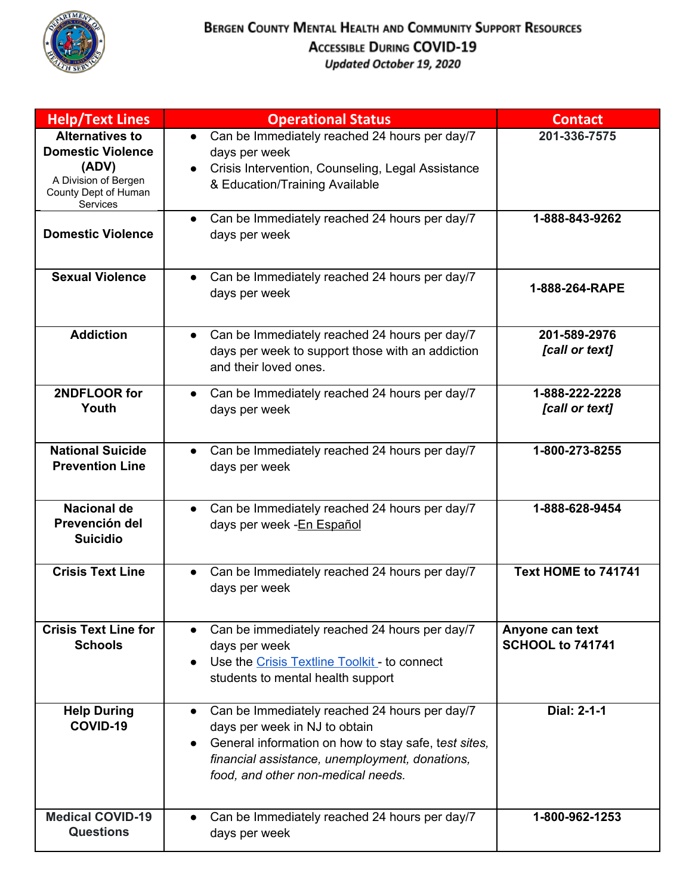

| <b>Help/Text Lines</b>                                                                                                  | <b>Operational Status</b>                                                                                                                                                                                                                   | <b>Contact</b>                             |
|-------------------------------------------------------------------------------------------------------------------------|---------------------------------------------------------------------------------------------------------------------------------------------------------------------------------------------------------------------------------------------|--------------------------------------------|
| <b>Alternatives to</b><br><b>Domestic Violence</b><br>(ADV)<br>A Division of Bergen<br>County Dept of Human<br>Services | Can be Immediately reached 24 hours per day/7<br>$\bullet$<br>days per week<br>Crisis Intervention, Counseling, Legal Assistance<br>& Education/Training Available                                                                          | 201-336-7575                               |
| <b>Domestic Violence</b>                                                                                                | Can be Immediately reached 24 hours per day/7<br>$\bullet$<br>days per week                                                                                                                                                                 | 1-888-843-9262                             |
| <b>Sexual Violence</b>                                                                                                  | Can be Immediately reached 24 hours per day/7<br>$\bullet$<br>days per week                                                                                                                                                                 | 1-888-264-RAPE                             |
| <b>Addiction</b>                                                                                                        | Can be Immediately reached 24 hours per day/7<br>$\bullet$<br>days per week to support those with an addiction<br>and their loved ones.                                                                                                     | 201-589-2976<br>[call or text]             |
| 2NDFLOOR for<br>Youth                                                                                                   | Can be Immediately reached 24 hours per day/7<br>$\bullet$<br>days per week                                                                                                                                                                 | 1-888-222-2228<br>[call or text]           |
| <b>National Suicide</b><br><b>Prevention Line</b>                                                                       | Can be Immediately reached 24 hours per day/7<br>days per week                                                                                                                                                                              | 1-800-273-8255                             |
| <b>Nacional de</b><br>Prevención del<br><b>Suicidio</b>                                                                 | Can be Immediately reached 24 hours per day/7<br>$\bullet$<br>days per week -En Español                                                                                                                                                     | 1-888-628-9454                             |
| <b>Crisis Text Line</b>                                                                                                 | Can be Immediately reached 24 hours per day/7<br>days per week                                                                                                                                                                              | Text HOME to 741741                        |
| <b>Crisis Text Line for</b><br><b>Schools</b>                                                                           | Can be immediately reached 24 hours per day/7<br>days per week<br>Use the Crisis Textline Toolkit - to connect<br>students to mental health support                                                                                         | Anyone can text<br><b>SCHOOL to 741741</b> |
| <b>Help During</b><br>COVID-19                                                                                          | Can be Immediately reached 24 hours per day/7<br>$\bullet$<br>days per week in NJ to obtain<br>General information on how to stay safe, test sites,<br>financial assistance, unemployment, donations,<br>food, and other non-medical needs. | Dial: 2-1-1                                |
| <b>Medical COVID-19</b><br><b>Questions</b>                                                                             | Can be Immediately reached 24 hours per day/7<br>days per week                                                                                                                                                                              | 1-800-962-1253                             |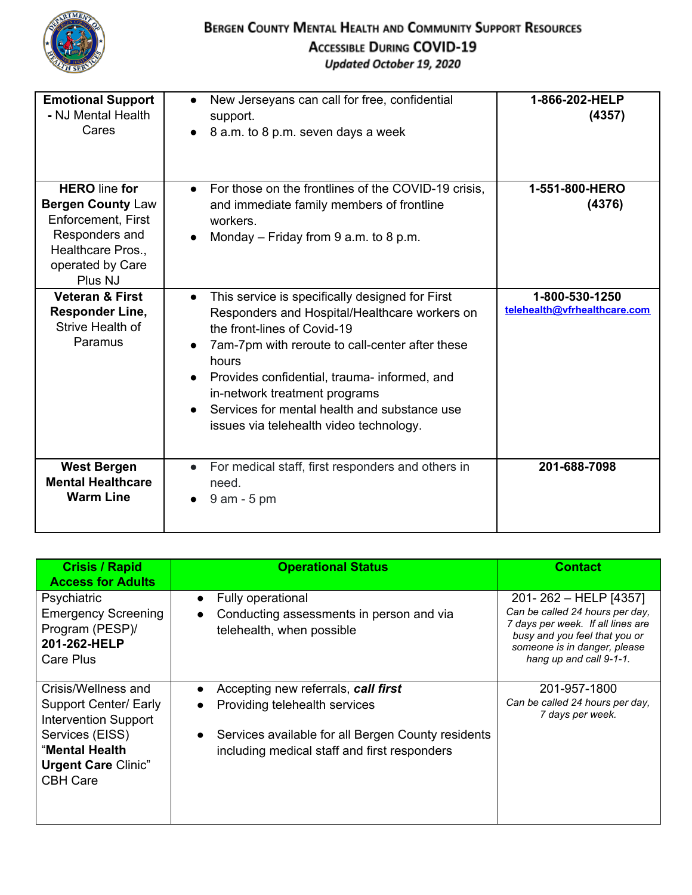

| <b>Emotional Support</b><br>- NJ Mental Health<br>Cares                                                                                      | New Jerseyans can call for free, confidential<br>support.<br>8 a.m. to 8 p.m. seven days a week                                                                                                                                                                                                                                                                                      | 1-866-202-HELP<br>(4357)                       |
|----------------------------------------------------------------------------------------------------------------------------------------------|--------------------------------------------------------------------------------------------------------------------------------------------------------------------------------------------------------------------------------------------------------------------------------------------------------------------------------------------------------------------------------------|------------------------------------------------|
| <b>HERO</b> line for<br><b>Bergen County Law</b><br>Enforcement, First<br>Responders and<br>Healthcare Pros.,<br>operated by Care<br>Plus NJ | For those on the frontlines of the COVID-19 crisis,<br>and immediate family members of frontline<br>workers.<br>Monday $-$ Friday from 9 a.m. to 8 p.m.                                                                                                                                                                                                                              | 1-551-800-HERO<br>(4376)                       |
| <b>Veteran &amp; First</b><br><b>Responder Line,</b><br>Strive Health of<br>Paramus                                                          | This service is specifically designed for First<br>$\bullet$<br>Responders and Hospital/Healthcare workers on<br>the front-lines of Covid-19<br>7am-7pm with reroute to call-center after these<br>hours<br>Provides confidential, trauma- informed, and<br>in-network treatment programs<br>Services for mental health and substance use<br>issues via telehealth video technology. | 1-800-530-1250<br>telehealth@vfrhealthcare.com |
| <b>West Bergen</b><br><b>Mental Healthcare</b><br><b>Warm Line</b>                                                                           | For medical staff, first responders and others in<br>$\bullet$<br>need.<br>$9$ am - $5$ pm                                                                                                                                                                                                                                                                                           | 201-688-7098                                   |

| <b>Crisis / Rapid</b><br><b>Access for Adults</b>                                                                                                                 | <b>Operational Status</b>                                                                                                                                                                            | <b>Contact</b>                                                                                                                                                                            |
|-------------------------------------------------------------------------------------------------------------------------------------------------------------------|------------------------------------------------------------------------------------------------------------------------------------------------------------------------------------------------------|-------------------------------------------------------------------------------------------------------------------------------------------------------------------------------------------|
| Psychiatric<br><b>Emergency Screening</b><br>Program (PESP)/<br>201-262-HELP<br>Care Plus                                                                         | Fully operational<br>$\bullet$<br>Conducting assessments in person and via<br>$\bullet$<br>telehealth, when possible                                                                                 | 201-262 - HELP [4357]<br>Can be called 24 hours per day.<br>7 days per week. If all lines are<br>busy and you feel that you or<br>someone is in danger, please<br>hang up and call 9-1-1. |
| Crisis/Wellness and<br>Support Center/ Early<br><b>Intervention Support</b><br>Services (EISS)<br>"Mental Health<br><b>Urgent Care Clinic"</b><br><b>CBH Care</b> | Accepting new referrals, call first<br>Providing telehealth services<br>$\bullet$<br>Services available for all Bergen County residents<br>$\bullet$<br>including medical staff and first responders | 201-957-1800<br>Can be called 24 hours per day.<br>7 days per week.                                                                                                                       |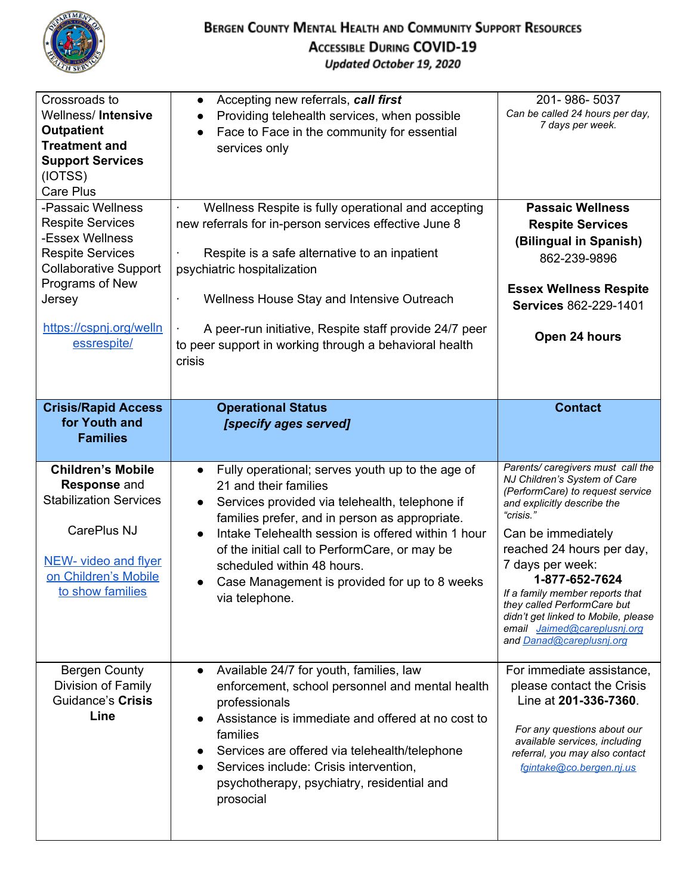

| Crossroads to<br>Wellness/Intensive<br><b>Outpatient</b><br><b>Treatment and</b><br><b>Support Services</b><br>(IOTSS)<br>Care Plus<br>-Passaic Wellness<br><b>Respite Services</b>         | Accepting new referrals, call first<br>$\bullet$<br>Providing telehealth services, when possible<br>$\bullet$<br>Face to Face in the community for essential<br>$\bullet$<br>services only<br>Wellness Respite is fully operational and accepting<br>new referrals for in-person services effective June 8                                                                                                                                    | 201-986-5037<br>Can be called 24 hours per day,<br>7 days per week.<br><b>Passaic Wellness</b><br><b>Respite Services</b>                                                                                                                                                                                                                                                                                                                   |
|---------------------------------------------------------------------------------------------------------------------------------------------------------------------------------------------|-----------------------------------------------------------------------------------------------------------------------------------------------------------------------------------------------------------------------------------------------------------------------------------------------------------------------------------------------------------------------------------------------------------------------------------------------|---------------------------------------------------------------------------------------------------------------------------------------------------------------------------------------------------------------------------------------------------------------------------------------------------------------------------------------------------------------------------------------------------------------------------------------------|
| -Essex Wellness<br><b>Respite Services</b><br><b>Collaborative Support</b><br>Programs of New<br>Jersey<br>https://cspnj.org/welln<br>essrespite/<br><b>Crisis/Rapid Access</b>             | Respite is a safe alternative to an inpatient<br>psychiatric hospitalization<br>Wellness House Stay and Intensive Outreach<br>A peer-run initiative, Respite staff provide 24/7 peer<br>to peer support in working through a behavioral health<br>crisis<br><b>Operational Status</b>                                                                                                                                                         | (Bilingual in Spanish)<br>862-239-9896<br><b>Essex Wellness Respite</b><br>Services 862-229-1401<br>Open 24 hours<br><b>Contact</b>                                                                                                                                                                                                                                                                                                         |
| for Youth and<br><b>Families</b>                                                                                                                                                            | [specify ages served]                                                                                                                                                                                                                                                                                                                                                                                                                         |                                                                                                                                                                                                                                                                                                                                                                                                                                             |
|                                                                                                                                                                                             |                                                                                                                                                                                                                                                                                                                                                                                                                                               |                                                                                                                                                                                                                                                                                                                                                                                                                                             |
| <b>Children's Mobile</b><br><b>Response and</b><br><b>Stabilization Services</b><br>CarePlus NJ<br>NEW- video and flyer<br>on Children's Mobile<br>to show families<br><b>Bergen County</b> | Fully operational; serves youth up to the age of<br>21 and their families<br>Services provided via telehealth, telephone if<br>families prefer, and in person as appropriate.<br>Intake Telehealth session is offered within 1 hour<br>$\bullet$<br>of the initial call to PerformCare, or may be<br>scheduled within 48 hours.<br>Case Management is provided for up to 8 weeks<br>via telephone.<br>Available 24/7 for youth, families, law | Parents/ caregivers must call the<br>NJ Children's System of Care<br>(PerformCare) to request service<br>and explicitly describe the<br>"crisis."<br>Can be immediately<br>reached 24 hours per day,<br>7 days per week:<br>1-877-652-7624<br>If a family member reports that<br>they called PerformCare but<br>didn't get linked to Mobile, please<br>email Jaimed@careplusnj.org<br>and Danad@careplusnj.org<br>For immediate assistance, |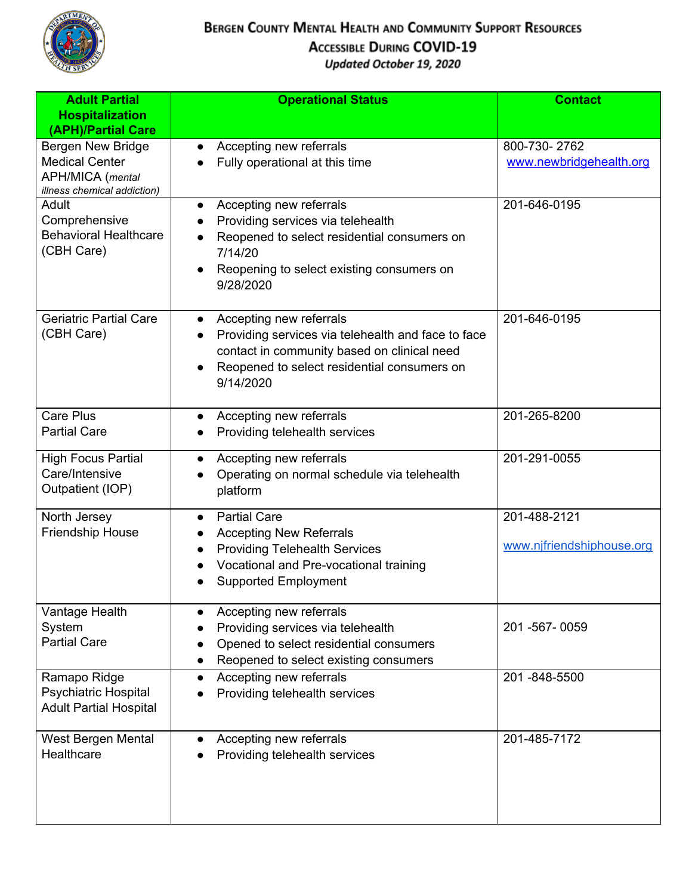

| <b>Adult Partial</b><br><b>Hospitalization</b><br>(APH)/Partial Care                                        | <b>Operational Status</b>                                                                                                                                                                             | <b>Contact</b>                            |
|-------------------------------------------------------------------------------------------------------------|-------------------------------------------------------------------------------------------------------------------------------------------------------------------------------------------------------|-------------------------------------------|
| <b>Bergen New Bridge</b><br><b>Medical Center</b><br><b>APH/MICA</b> (mental<br>illness chemical addiction) | Accepting new referrals<br>$\bullet$<br>Fully operational at this time                                                                                                                                | 800-730-2762<br>www.newbridgehealth.org   |
| Adult<br>Comprehensive<br><b>Behavioral Healthcare</b><br>(CBH Care)                                        | Accepting new referrals<br>$\bullet$<br>Providing services via telehealth<br>Reopened to select residential consumers on<br>7/14/20<br>Reopening to select existing consumers on<br>9/28/2020         | 201-646-0195                              |
| <b>Geriatric Partial Care</b><br>(CBH Care)                                                                 | Accepting new referrals<br>$\bullet$<br>Providing services via telehealth and face to face<br>contact in community based on clinical need<br>Reopened to select residential consumers on<br>9/14/2020 | 201-646-0195                              |
| <b>Care Plus</b><br><b>Partial Care</b>                                                                     | Accepting new referrals<br>Providing telehealth services                                                                                                                                              | 201-265-8200                              |
| <b>High Focus Partial</b><br>Care/Intensive<br>Outpatient (IOP)                                             | Accepting new referrals<br>$\bullet$<br>Operating on normal schedule via telehealth<br>platform                                                                                                       | 201-291-0055                              |
| North Jersey<br>Friendship House                                                                            | <b>Partial Care</b><br>$\bullet$<br><b>Accepting New Referrals</b><br><b>Providing Telehealth Services</b><br>Vocational and Pre-vocational training<br><b>Supported Employment</b>                   | 201-488-2121<br>www.njfriendshiphouse.org |
| Vantage Health<br>System<br><b>Partial Care</b>                                                             | Accepting new referrals<br>Providing services via telehealth<br>Opened to select residential consumers<br>Reopened to select existing consumers                                                       | 201-567-0059                              |
| Ramapo Ridge<br><b>Psychiatric Hospital</b><br><b>Adult Partial Hospital</b>                                | Accepting new referrals<br>Providing telehealth services                                                                                                                                              | 201-848-5500                              |
| West Bergen Mental<br>Healthcare                                                                            | Accepting new referrals<br>Providing telehealth services                                                                                                                                              | 201-485-7172                              |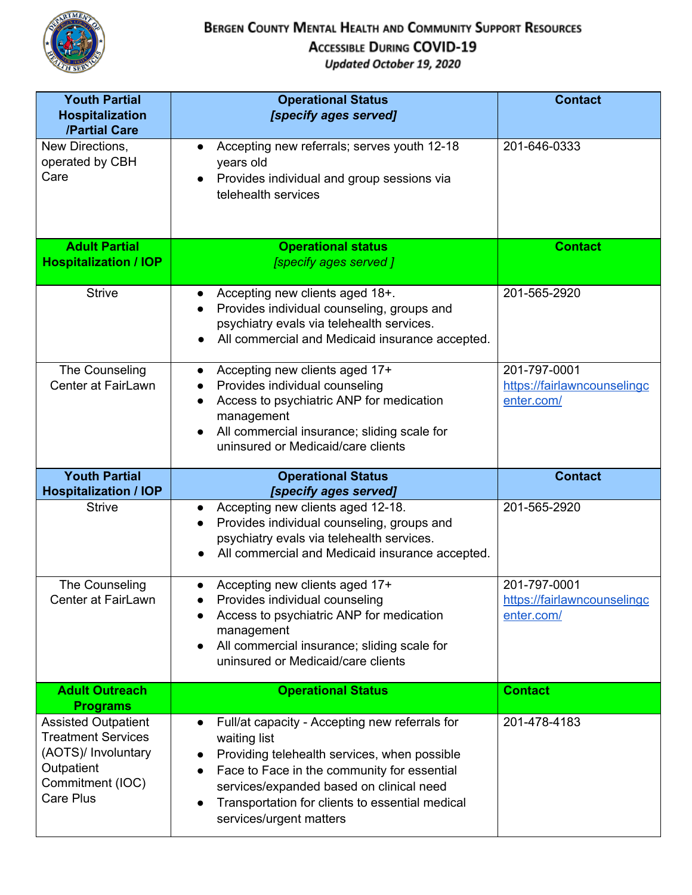

| <b>Youth Partial</b><br><b>Hospitalization</b><br>/Partial Care | <b>Operational Status</b><br>[specify ages served]                                                                                                                                                              | <b>Contact</b>                                            |
|-----------------------------------------------------------------|-----------------------------------------------------------------------------------------------------------------------------------------------------------------------------------------------------------------|-----------------------------------------------------------|
| New Directions,<br>operated by CBH<br>Care                      | Accepting new referrals; serves youth 12-18<br>$\bullet$<br>years old<br>Provides individual and group sessions via<br>telehealth services                                                                      | 201-646-0333                                              |
| <b>Adult Partial</b><br><b>Hospitalization / IOP</b>            | <b>Operational status</b><br>[specify ages served]                                                                                                                                                              | <b>Contact</b>                                            |
| <b>Strive</b>                                                   | Accepting new clients aged 18+.<br>$\bullet$<br>Provides individual counseling, groups and<br>psychiatry evals via telehealth services.<br>All commercial and Medicaid insurance accepted.                      | 201-565-2920                                              |
| The Counseling<br>Center at FairLawn                            | Accepting new clients aged 17+<br>Provides individual counseling<br>Access to psychiatric ANP for medication<br>management<br>All commercial insurance; sliding scale for<br>uninsured or Medicaid/care clients | 201-797-0001<br>https://fairlawncounselingc<br>enter.com/ |
|                                                                 |                                                                                                                                                                                                                 |                                                           |
| <b>Youth Partial</b><br><b>Hospitalization / IOP</b>            | <b>Operational Status</b><br>[specify ages served]                                                                                                                                                              | <b>Contact</b>                                            |
| <b>Strive</b>                                                   | Accepting new clients aged 12-18.<br>Provides individual counseling, groups and<br>psychiatry evals via telehealth services.<br>All commercial and Medicaid insurance accepted.                                 | 201-565-2920                                              |
| The Counseling<br>Center at FairLawn                            | Accepting new clients aged 17+<br>Provides individual counseling<br>Access to psychiatric ANP for medication<br>management<br>All commercial insurance; sliding scale for<br>uninsured or Medicaid/care clients | 201-797-0001<br>https://fairlawncounselingc<br>enter.com/ |
| <b>Adult Outreach</b><br><b>Programs</b>                        | <b>Operational Status</b>                                                                                                                                                                                       | <b>Contact</b>                                            |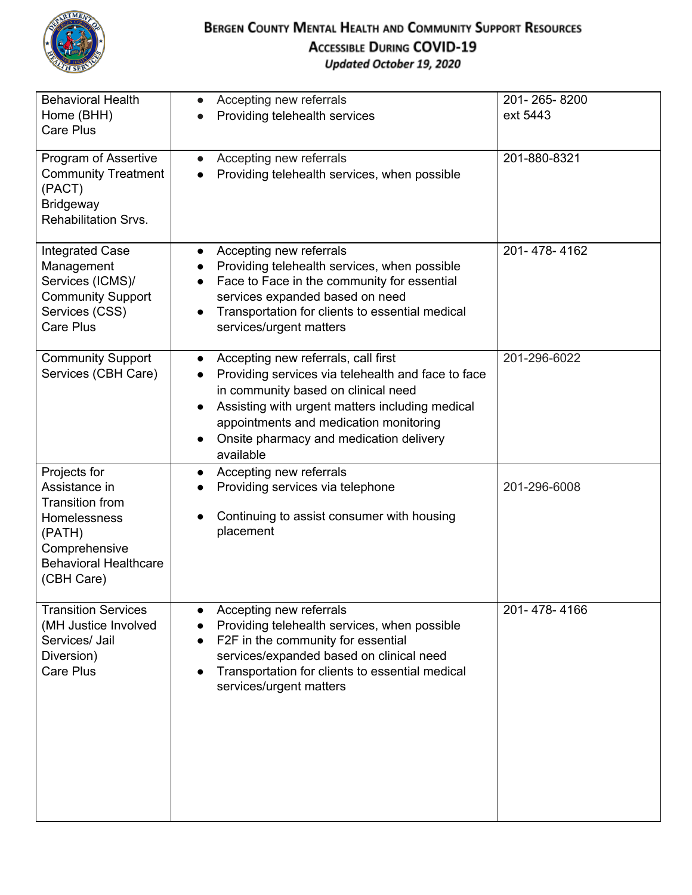

| <b>Behavioral Health</b>         | Accepting new referrals<br>$\bullet$                                       | 201-265-8200 |
|----------------------------------|----------------------------------------------------------------------------|--------------|
| Home (BHH)                       | Providing telehealth services                                              | ext 5443     |
| <b>Care Plus</b>                 |                                                                            |              |
|                                  |                                                                            |              |
| Program of Assertive             | Accepting new referrals<br>$\bullet$                                       | 201-880-8321 |
| <b>Community Treatment</b>       | Providing telehealth services, when possible                               |              |
| (PACT)                           |                                                                            |              |
| <b>Bridgeway</b>                 |                                                                            |              |
| <b>Rehabilitation Srvs.</b>      |                                                                            |              |
| <b>Integrated Case</b>           | Accepting new referrals<br>$\bullet$                                       | 201-478-4162 |
| Management                       | Providing telehealth services, when possible                               |              |
| Services (ICMS)/                 | Face to Face in the community for essential<br>$\bullet$                   |              |
| <b>Community Support</b>         | services expanded based on need                                            |              |
| Services (CSS)                   | Transportation for clients to essential medical                            |              |
| <b>Care Plus</b>                 | services/urgent matters                                                    |              |
|                                  |                                                                            |              |
| <b>Community Support</b>         | Accepting new referrals, call first<br>$\bullet$                           | 201-296-6022 |
| Services (CBH Care)              | Providing services via telehealth and face to face                         |              |
|                                  | in community based on clinical need                                        |              |
|                                  | Assisting with urgent matters including medical                            |              |
|                                  | appointments and medication monitoring                                     |              |
|                                  | Onsite pharmacy and medication delivery                                    |              |
|                                  | available                                                                  |              |
| Projects for                     | Accepting new referrals<br>$\bullet$                                       |              |
| Assistance in<br>Transition from | Providing services via telephone                                           | 201-296-6008 |
| Homelessness                     | Continuing to assist consumer with housing                                 |              |
| (PATH)                           | placement                                                                  |              |
| Comprehensive                    |                                                                            |              |
| <b>Behavioral Healthcare</b>     |                                                                            |              |
| (CBH Care)                       |                                                                            |              |
|                                  |                                                                            |              |
| <b>Transition Services</b>       | Accepting new referrals                                                    | 201-478-4166 |
| (MH Justice Involved             | Providing telehealth services, when possible                               |              |
| Services/ Jail                   | F2F in the community for essential                                         |              |
| Diversion)<br><b>Care Plus</b>   | services/expanded based on clinical need                                   |              |
|                                  | Transportation for clients to essential medical<br>services/urgent matters |              |
|                                  |                                                                            |              |
|                                  |                                                                            |              |
|                                  |                                                                            |              |
|                                  |                                                                            |              |
|                                  |                                                                            |              |
|                                  |                                                                            |              |
|                                  |                                                                            |              |
|                                  |                                                                            |              |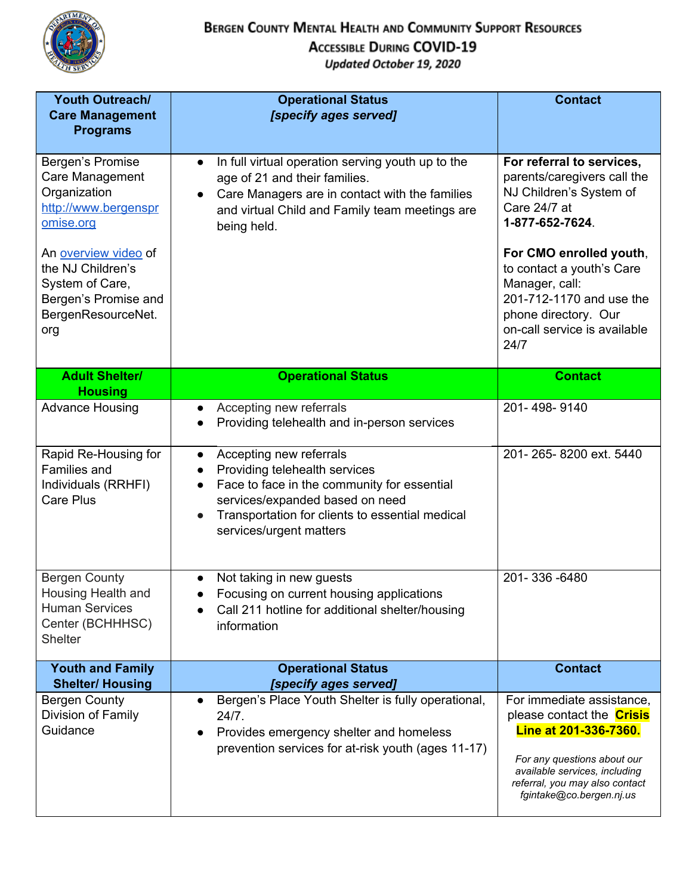

| <b>Youth Outreach/</b><br><b>Care Management</b><br><b>Programs</b>                                               | <b>Operational Status</b><br>[specify ages served]                                                                                                                                                                                                                           | <b>Contact</b>                                                                                                                                                                                                       |
|-------------------------------------------------------------------------------------------------------------------|------------------------------------------------------------------------------------------------------------------------------------------------------------------------------------------------------------------------------------------------------------------------------|----------------------------------------------------------------------------------------------------------------------------------------------------------------------------------------------------------------------|
| Bergen's Promise<br>Care Management<br>Organization<br>http://www.bergenspr<br>omise.org                          | In full virtual operation serving youth up to the<br>$\bullet$<br>age of 21 and their families.<br>Care Managers are in contact with the families<br>and virtual Child and Family team meetings are<br>being held.                                                           | For referral to services,<br>parents/caregivers call the<br>NJ Children's System of<br>Care 24/7 at<br>1-877-652-7624.                                                                                               |
| An overview video of<br>the NJ Children's<br>System of Care,<br>Bergen's Promise and<br>BergenResourceNet.<br>org |                                                                                                                                                                                                                                                                              | For CMO enrolled youth,<br>to contact a youth's Care<br>Manager, call:<br>201-712-1170 and use the<br>phone directory. Our<br>on-call service is available<br>24/7                                                   |
| <b>Adult Shelter/</b><br><b>Housing</b>                                                                           | <b>Operational Status</b>                                                                                                                                                                                                                                                    | <b>Contact</b>                                                                                                                                                                                                       |
| <b>Advance Housing</b>                                                                                            | Accepting new referrals<br>$\bullet$<br>Providing telehealth and in-person services<br>$\bullet$                                                                                                                                                                             | 201-498-9140                                                                                                                                                                                                         |
| Rapid Re-Housing for<br><b>Families and</b><br>Individuals (RRHFI)<br>Care Plus                                   | Accepting new referrals<br>$\bullet$<br>Providing telehealth services<br>$\bullet$<br>Face to face in the community for essential<br>$\bullet$<br>services/expanded based on need<br>Transportation for clients to essential medical<br>$\bullet$<br>services/urgent matters | 201-265-8200 ext. 5440                                                                                                                                                                                               |
| <b>Bergen County</b><br>Housing Health and<br><b>Human Services</b><br>Center (BCHHHSC)<br><b>Shelter</b>         | Not taking in new guests<br>Focusing on current housing applications<br>Call 211 hotline for additional shelter/housing<br>information                                                                                                                                       | 201-336-6480                                                                                                                                                                                                         |
| <b>Youth and Family</b><br><b>Shelter/Housing</b>                                                                 | <b>Operational Status</b><br>[specify ages served]                                                                                                                                                                                                                           | <b>Contact</b>                                                                                                                                                                                                       |
| <b>Bergen County</b><br>Division of Family<br>Guidance                                                            | Bergen's Place Youth Shelter is fully operational,<br>24/7.<br>Provides emergency shelter and homeless<br>prevention services for at-risk youth (ages 11-17)                                                                                                                 | For immediate assistance,<br>please contact the <b>Crisis</b><br>Line at 201-336-7360.<br>For any questions about our<br>available services, including<br>referral, you may also contact<br>fgintake@co.bergen.nj.us |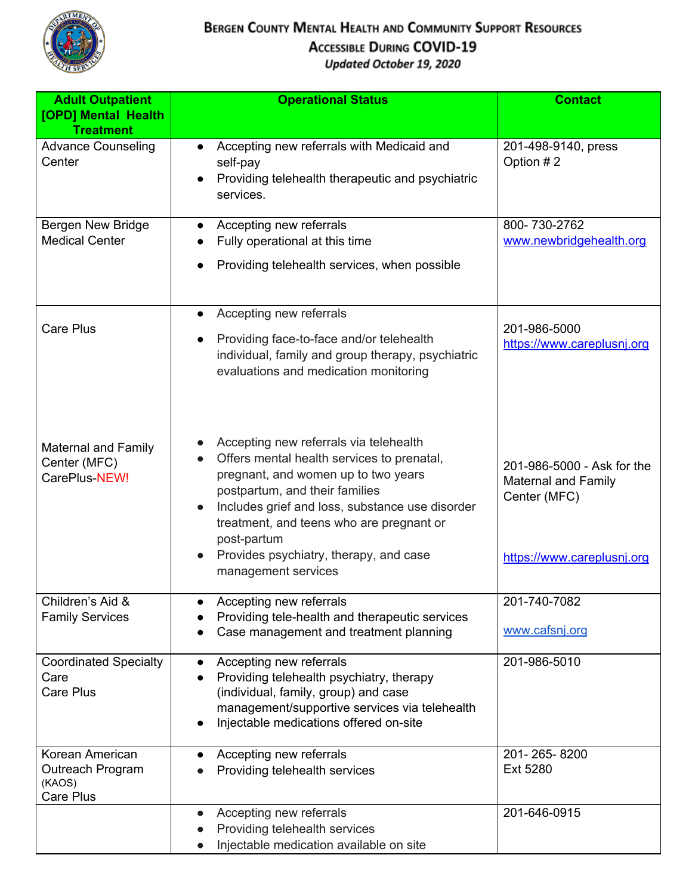

| <b>Adult Outpatient</b>                                     | <b>Operational Status</b>                                                                                                                                                                                                                                                                                                                                 | <b>Contact</b>                                                                                         |
|-------------------------------------------------------------|-----------------------------------------------------------------------------------------------------------------------------------------------------------------------------------------------------------------------------------------------------------------------------------------------------------------------------------------------------------|--------------------------------------------------------------------------------------------------------|
| [OPD] Mental Health<br><b>Treatment</b>                     |                                                                                                                                                                                                                                                                                                                                                           |                                                                                                        |
| <b>Advance Counseling</b><br>Center                         | Accepting new referrals with Medicaid and<br>$\bullet$<br>self-pay<br>Providing telehealth therapeutic and psychiatric<br>services.                                                                                                                                                                                                                       | 201-498-9140, press<br>Option #2                                                                       |
| Bergen New Bridge<br><b>Medical Center</b>                  | Accepting new referrals<br>Fully operational at this time<br>Providing telehealth services, when possible                                                                                                                                                                                                                                                 | 800-730-2762<br>www.newbridgehealth.org                                                                |
| <b>Care Plus</b>                                            | Accepting new referrals<br>Providing face-to-face and/or telehealth<br>individual, family and group therapy, psychiatric<br>evaluations and medication monitoring                                                                                                                                                                                         | 201-986-5000<br>https://www.careplusnj.org                                                             |
| <b>Maternal and Family</b><br>Center (MFC)<br>CarePlus-NEW! | Accepting new referrals via telehealth<br>Offers mental health services to prenatal,<br>pregnant, and women up to two years<br>postpartum, and their families<br>Includes grief and loss, substance use disorder<br>$\bullet$<br>treatment, and teens who are pregnant or<br>post-partum<br>Provides psychiatry, therapy, and case<br>management services | 201-986-5000 - Ask for the<br><b>Maternal and Family</b><br>Center (MFC)<br>https://www.careplusnj.org |
| Children's Aid &<br><b>Family Services</b>                  | Accepting new referrals<br>Providing tele-health and therapeutic services<br>Case management and treatment planning                                                                                                                                                                                                                                       | 201-740-7082<br>www.cafsnj.org                                                                         |
| <b>Coordinated Specialty</b><br>Care<br><b>Care Plus</b>    | Accepting new referrals<br>$\bullet$<br>Providing telehealth psychiatry, therapy<br>$\bullet$<br>(individual, family, group) and case<br>management/supportive services via telehealth<br>Injectable medications offered on-site<br>$\bullet$                                                                                                             | 201-986-5010                                                                                           |
| Korean American<br>Outreach Program<br>(KAOS)<br>Care Plus  | Accepting new referrals<br>Providing telehealth services                                                                                                                                                                                                                                                                                                  | 201-265-8200<br>Ext 5280                                                                               |
|                                                             | Accepting new referrals<br>$\bullet$<br>Providing telehealth services<br>Injectable medication available on site                                                                                                                                                                                                                                          | 201-646-0915                                                                                           |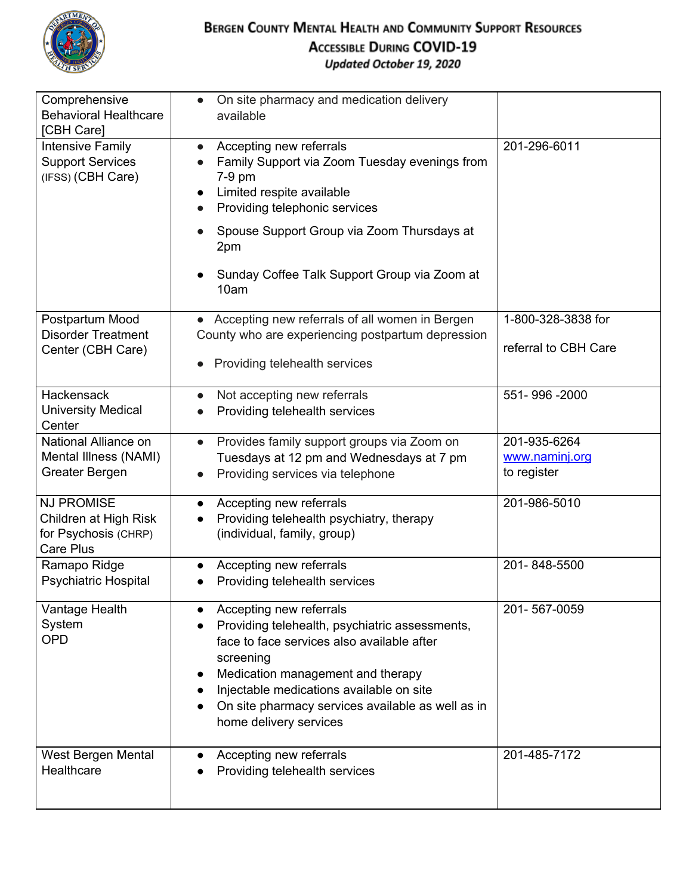

| Comprehensive<br><b>Behavioral Healthcare</b><br>[CBH Care]                     | On site pharmacy and medication delivery<br>available                                                                                                                                                                                                                                                |                                               |
|---------------------------------------------------------------------------------|------------------------------------------------------------------------------------------------------------------------------------------------------------------------------------------------------------------------------------------------------------------------------------------------------|-----------------------------------------------|
| <b>Intensive Family</b><br><b>Support Services</b><br>(IFSS) (CBH Care)         | Accepting new referrals<br>$\bullet$<br>Family Support via Zoom Tuesday evenings from<br>7-9 pm<br>Limited respite available<br>Providing telephonic services<br>Spouse Support Group via Zoom Thursdays at<br>2pm<br>Sunday Coffee Talk Support Group via Zoom at<br>10am                           | 201-296-6011                                  |
| Postpartum Mood<br><b>Disorder Treatment</b><br>Center (CBH Care)               | • Accepting new referrals of all women in Bergen<br>County who are experiencing postpartum depression<br>Providing telehealth services                                                                                                                                                               | 1-800-328-3838 for<br>referral to CBH Care    |
| Hackensack<br><b>University Medical</b><br>Center                               | Not accepting new referrals<br>$\bullet$<br>Providing telehealth services                                                                                                                                                                                                                            | 551-996-2000                                  |
| National Alliance on<br>Mental Illness (NAMI)<br>Greater Bergen                 | Provides family support groups via Zoom on<br>$\bullet$<br>Tuesdays at 12 pm and Wednesdays at 7 pm<br>Providing services via telephone                                                                                                                                                              | 201-935-6264<br>www.naminj.org<br>to register |
| <b>NJ PROMISE</b><br>Children at High Risk<br>for Psychosis (CHRP)<br>Care Plus | Accepting new referrals<br>$\bullet$<br>Providing telehealth psychiatry, therapy<br>(individual, family, group)                                                                                                                                                                                      | 201-986-5010                                  |
| Ramapo Ridge<br><b>Psychiatric Hospital</b>                                     | Accepting new referrals<br>Providing telehealth services                                                                                                                                                                                                                                             | 201-848-5500                                  |
| Vantage Health<br>System<br><b>OPD</b>                                          | Accepting new referrals<br>Providing telehealth, psychiatric assessments,<br>face to face services also available after<br>screening<br>Medication management and therapy<br>Injectable medications available on site<br>On site pharmacy services available as well as in<br>home delivery services | 201-567-0059                                  |
| West Bergen Mental<br>Healthcare                                                | Accepting new referrals<br>Providing telehealth services                                                                                                                                                                                                                                             | 201-485-7172                                  |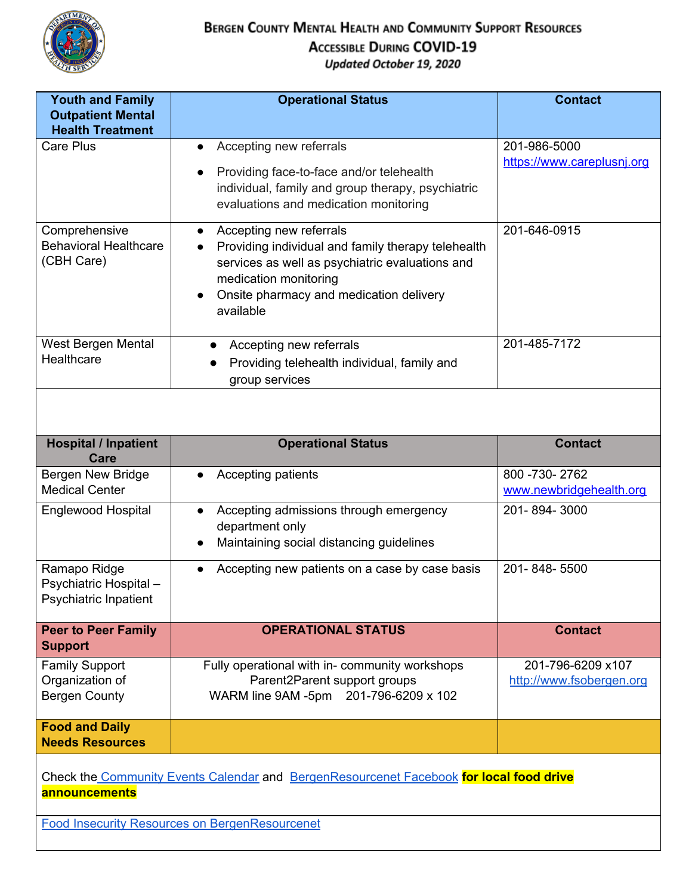

| <b>Youth and Family</b><br><b>Outpatient Mental</b><br><b>Health Treatment</b> | <b>Operational Status</b>                                                                                                                                                                                                      | <b>Contact</b>                              |
|--------------------------------------------------------------------------------|--------------------------------------------------------------------------------------------------------------------------------------------------------------------------------------------------------------------------------|---------------------------------------------|
| Care Plus                                                                      | Accepting new referrals                                                                                                                                                                                                        | 201-986-5000                                |
|                                                                                | Providing face-to-face and/or telehealth<br>individual, family and group therapy, psychiatric<br>evaluations and medication monitoring                                                                                         | https://www.careplusnj.org                  |
| Comprehensive<br><b>Behavioral Healthcare</b><br>(CBH Care)                    | Accepting new referrals<br>$\bullet$<br>Providing individual and family therapy telehealth<br>services as well as psychiatric evaluations and<br>medication monitoring<br>Onsite pharmacy and medication delivery<br>available | 201-646-0915                                |
| West Bergen Mental<br>Healthcare                                               | Accepting new referrals<br>$\bullet$<br>Providing telehealth individual, family and<br>group services                                                                                                                          | 201-485-7172                                |
|                                                                                |                                                                                                                                                                                                                                |                                             |
| <b>Hospital / Inpatient</b><br>Care                                            | <b>Operational Status</b>                                                                                                                                                                                                      | <b>Contact</b>                              |
| Bergen New Bridge<br><b>Medical Center</b>                                     | Accepting patients                                                                                                                                                                                                             | 800 - 730 - 2762<br>www.newbridgehealth.org |
| Englewood Hospital                                                             | Accepting admissions through emergency<br>$\bullet$<br>department only<br>Maintaining social distancing guidelines                                                                                                             | 201-894-3000                                |
| Ramapo Ridge<br>Psychiatric Hospital-<br>Psychiatric Inpatient                 | Accepting new patients on a case by case basis                                                                                                                                                                                 | 201-848-5500                                |
| <b>Peer to Peer Family</b><br><b>Support</b>                                   | <b>OPERATIONAL STATUS</b>                                                                                                                                                                                                      | <b>Contact</b>                              |
| <b>Family Support</b>                                                          | Fully operational with in-community workshops                                                                                                                                                                                  | 201-796-6209 x107                           |
| Organization of                                                                | Parent2Parent support groups                                                                                                                                                                                                   | http://www.fsobergen.org                    |
| <b>Bergen County</b>                                                           | WARM line 9AM -5pm 201-796-6209 x 102                                                                                                                                                                                          |                                             |
| <b>Food and Daily</b><br><b>Needs Resources</b>                                |                                                                                                                                                                                                                                |                                             |
| announcements                                                                  | Check the Community Events Calendar and BergenResourcenet Facebook for local food drive                                                                                                                                        |                                             |
|                                                                                | <b>Food Insecurity Resources on BergenResourcenet</b>                                                                                                                                                                          |                                             |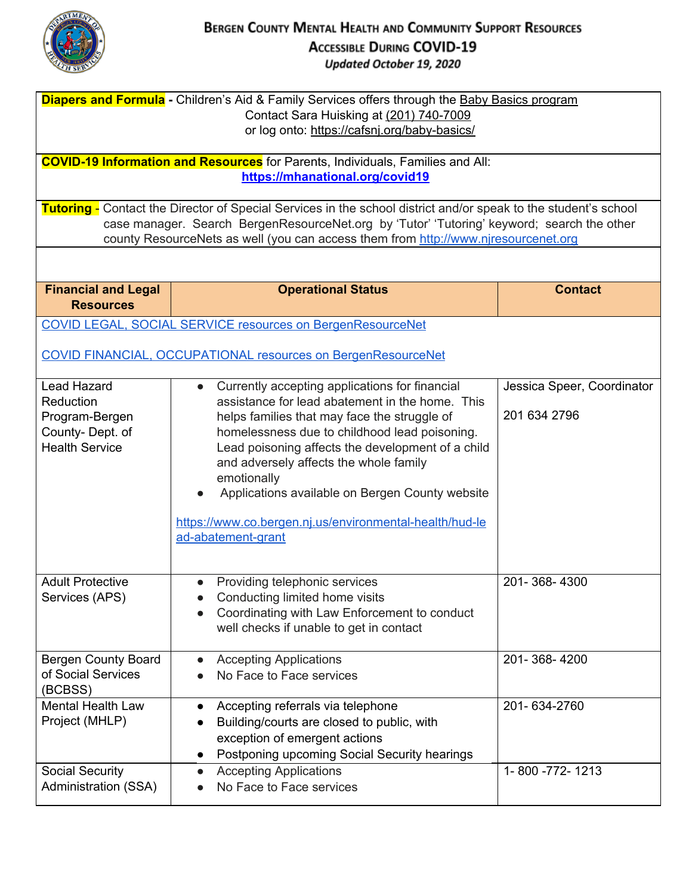

| <b>Diapers and Formula</b> - Children's Aid & Family Services offers through the Baby Basics program<br>Contact Sara Huisking at (201) 740-7009<br>or log onto: https://cafsnj.org/baby-basics/ |                                                                                                                                                                                                                                                                                                                                                                                                                                                      |                                            |  |
|-------------------------------------------------------------------------------------------------------------------------------------------------------------------------------------------------|------------------------------------------------------------------------------------------------------------------------------------------------------------------------------------------------------------------------------------------------------------------------------------------------------------------------------------------------------------------------------------------------------------------------------------------------------|--------------------------------------------|--|
| <b>COVID-19 Information and Resources</b> for Parents, Individuals, Families and All:<br>https://mhanational.org/covid19                                                                        |                                                                                                                                                                                                                                                                                                                                                                                                                                                      |                                            |  |
|                                                                                                                                                                                                 | Tutoring - Contact the Director of Special Services in the school district and/or speak to the student's school<br>case manager. Search BergenResourceNet.org by 'Tutor' 'Tutoring' keyword; search the other<br>county ResourceNets as well (you can access them from http://www.njresourcenet.org                                                                                                                                                  |                                            |  |
|                                                                                                                                                                                                 |                                                                                                                                                                                                                                                                                                                                                                                                                                                      |                                            |  |
| <b>Financial and Legal</b><br><b>Resources</b>                                                                                                                                                  | <b>Operational Status</b>                                                                                                                                                                                                                                                                                                                                                                                                                            | <b>Contact</b>                             |  |
|                                                                                                                                                                                                 | <b>COVID LEGAL, SOCIAL SERVICE resources on BergenResourceNet</b><br><b>COVID FINANCIAL, OCCUPATIONAL resources on BergenResourceNet</b>                                                                                                                                                                                                                                                                                                             |                                            |  |
| <b>Lead Hazard</b><br>Reduction<br>Program-Bergen<br>County-Dept. of<br><b>Health Service</b>                                                                                                   | Currently accepting applications for financial<br>assistance for lead abatement in the home. This<br>helps families that may face the struggle of<br>homelessness due to childhood lead poisoning.<br>Lead poisoning affects the development of a child<br>and adversely affects the whole family<br>emotionally<br>Applications available on Bergen County website<br>https://www.co.bergen.nj.us/environmental-health/hud-le<br>ad-abatement-grant | Jessica Speer, Coordinator<br>201 634 2796 |  |
| <b>Adult Protective</b><br>Services (APS)                                                                                                                                                       | Providing telephonic services<br>Conducting limited home visits<br>Coordinating with Law Enforcement to conduct<br>well checks if unable to get in contact                                                                                                                                                                                                                                                                                           | 201-368-4300                               |  |
| <b>Bergen County Board</b><br>of Social Services<br>(BCBSS)                                                                                                                                     | <b>Accepting Applications</b><br>No Face to Face services                                                                                                                                                                                                                                                                                                                                                                                            | 201-368-4200                               |  |
| <b>Mental Health Law</b><br>Project (MHLP)                                                                                                                                                      | Accepting referrals via telephone<br>Building/courts are closed to public, with<br>exception of emergent actions<br>Postponing upcoming Social Security hearings                                                                                                                                                                                                                                                                                     | 201-634-2760                               |  |
| Social Security<br><b>Administration (SSA)</b>                                                                                                                                                  | <b>Accepting Applications</b><br>$\bullet$<br>No Face to Face services                                                                                                                                                                                                                                                                                                                                                                               | 1-800 -772-1213                            |  |